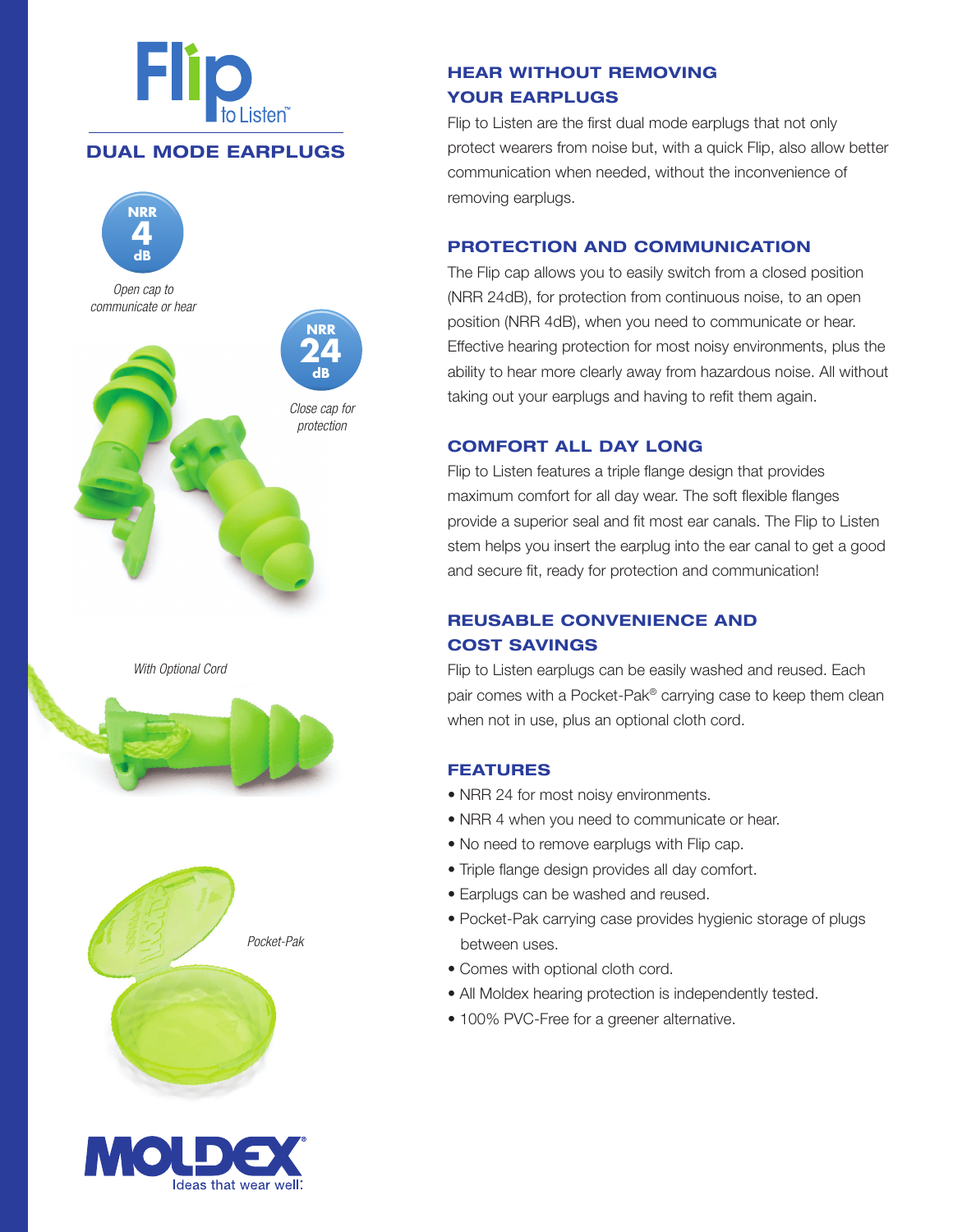

## **DUAL MODE EARPLUGS**











# **HEAR WITHOUT REMOVING YOUR EARPLUGS**

Flip to Listen are the first dual mode earplugs that not only protect wearers from noise but, with a quick Flip, also allow better communication when needed, without the inconvenience of removing earplugs.

## **PROTECTION AND COMMUNICATION**

The Flip cap allows you to easily switch from a closed position (NRR 24dB), for protection from continuous noise, to an open position (NRR 4dB), when you need to communicate or hear. Effective hearing protection for most noisy environments, plus the ability to hear more clearly away from hazardous noise. All without taking out your earplugs and having to refit them again.

### **COMFORT ALL DAY LONG**

Flip to Listen features a triple flange design that provides maximum comfort for all day wear. The soft flexible flanges provide a superior seal and fit most ear canals. The Flip to Listen stem helps you insert the earplug into the ear canal to get a good and secure fit, ready for protection and communication!

## **REUSABLE CONVENIENCE AND COST SAVINGS**

Flip to Listen earplugs can be easily washed and reused. Each pair comes with a Pocket-Pak® carrying case to keep them clean when not in use, plus an optional cloth cord.

### **FEATURES**

- NRR 24 for most noisy environments.
- NRR 4 when you need to communicate or hear.
- No need to remove earplugs with Flip cap.
- Triple flange design provides all day comfort.
- Earplugs can be washed and reused.
- Pocket-Pak carrying case provides hygienic storage of plugs between uses.
- Comes with optional cloth cord.
- All Moldex hearing protection is independently tested.
- 100% PVC-Free for a greener alternative.